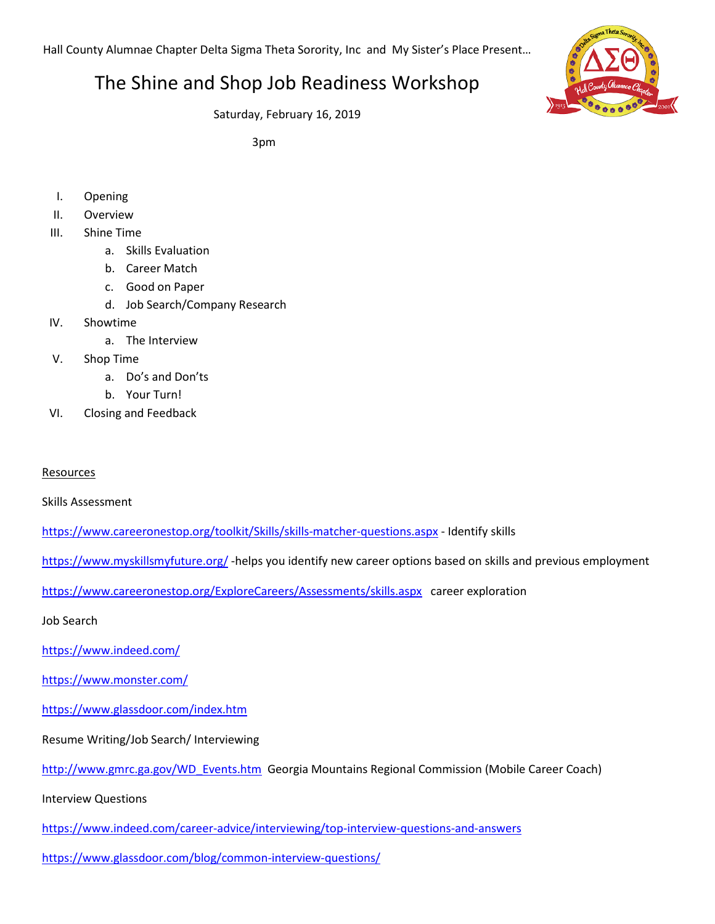Hall County Alumnae Chapter Delta Sigma Theta Sorority, Inc and My Sister's Place Present…

## The Shine and Shop Job Readiness Workshop



Saturday, February 16, 2019

3pm

- I. Opening
- II. Overview
- III. Shine Time
	- a. Skills Evaluation
	- b. Career Match
	- c. Good on Paper
	- d. Job Search/Company Research
- IV. Showtime
	- a. The Interview
- V. Shop Time
	- a. Do's and Don'ts
	- b. Your Turn!
- VI. Closing and Feedback

Resources

Skills Assessment

<https://www.careeronestop.org/toolkit/Skills/skills-matcher-questions.aspx> - Identify skills

<https://www.myskillsmyfuture.org/> -helps you identify new career options based on skills and previous employment

<https://www.careeronestop.org/ExploreCareers/Assessments/skills.aspx>career exploration

Job Search

<https://www.indeed.com/>

<https://www.monster.com/>

<https://www.glassdoor.com/index.htm>

Resume Writing/Job Search/ Interviewing

[http://www.gmrc.ga.gov/WD\\_Events.htm](http://www.gmrc.ga.gov/WD_Events.htm) Georgia Mountains Regional Commission (Mobile Career Coach)

Interview Questions

<https://www.indeed.com/career-advice/interviewing/top-interview-questions-and-answers>

<https://www.glassdoor.com/blog/common-interview-questions/>